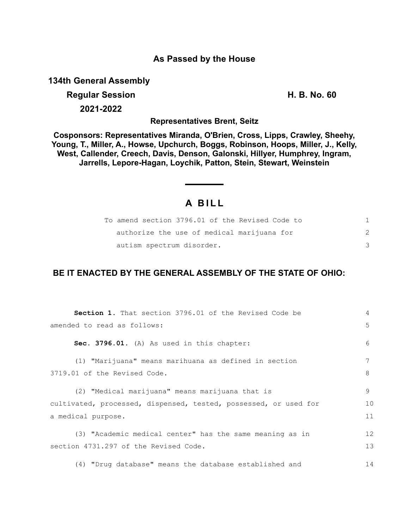## **As Passed by the House**

**134th General Assembly**

## **Regular Session H. B. No. 60 2021-2022**

**Representatives Brent, Seitz**

**Cosponsors: Representatives Miranda, O'Brien, Cross, Lipps, Crawley, Sheehy, Young, T., Miller, A., Howse, Upchurch, Boggs, Robinson, Hoops, Miller, J., Kelly, West, Callender, Creech, Davis, Denson, Galonski, Hillyer, Humphrey, Ingram, Jarrells, Lepore-Hagan, Loychik, Patton, Stein, Stewart, Weinstein**

## **A B I L L**

|                           | To amend section 3796.01 of the Revised Code to |  |
|---------------------------|-------------------------------------------------|--|
|                           | authorize the use of medical marijuana for      |  |
| autism spectrum disorder. |                                                 |  |

## **BE IT ENACTED BY THE GENERAL ASSEMBLY OF THE STATE OF OHIO:**

| <b>Section 1.</b> That section 3796.01 of the Revised Code be    | 4  |
|------------------------------------------------------------------|----|
| amended to read as follows:                                      | 5  |
| Sec. 3796.01. (A) As used in this chapter:                       | 6  |
| (1) "Marijuana" means marihuana as defined in section            | 7  |
| 3719.01 of the Revised Code.                                     | 8  |
| (2) "Medical marijuana" means marijuana that is                  | 9  |
| cultivated, processed, dispensed, tested, possessed, or used for | 10 |
| a medical purpose.                                               | 11 |
| (3) "Academic medical center" has the same meaning as in         | 12 |
| section 4731.297 of the Revised Code.                            | 13 |
| (4) "Drug database" means the database established and           | 14 |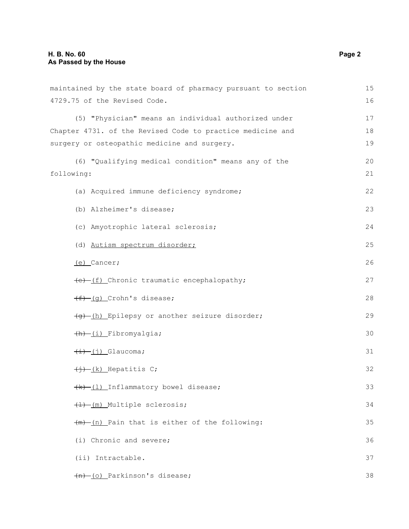| maintained by the state board of pharmacy pursuant to section |    |
|---------------------------------------------------------------|----|
| 4729.75 of the Revised Code.                                  | 16 |
| (5) "Physician" means an individual authorized under          | 17 |
| Chapter 4731. of the Revised Code to practice medicine and    | 18 |
| surgery or osteopathic medicine and surgery.                  | 19 |
| (6) "Qualifying medical condition" means any of the           | 20 |
| following:                                                    | 21 |
| (a) Acquired immune deficiency syndrome;                      | 22 |
| (b) Alzheimer's disease;                                      | 23 |
| (c) Amyotrophic lateral sclerosis;                            | 24 |
| (d) Autism spectrum disorder;                                 | 25 |
| $(e)$ Cancer;                                                 | 26 |
| (e) (f) Chronic traumatic encephalopathy;                     | 27 |
| $(f)$ (q) Crohn's disease;                                    | 28 |
| (g)-(h) Epilepsy or another seizure disorder;                 | 29 |
| (h) (i) Fibromyalgia;                                         | 30 |
| $\overline{(+)}$ (j) Glaucoma;                                | 31 |
| $\overline{(\dagger)}$ (k) Hepatitis C;                       | 32 |
| (k)-(1) Inflammatory bowel disease;                           | 33 |
| (1) Multiple sclerosis;                                       | 34 |
| (m) (n) Pain that is either of the following:                 | 35 |
| (i) Chronic and severe;                                       | 36 |
| (ii) Intractable.                                             | 37 |
| (n) (o) Parkinson's disease;                                  | 38 |